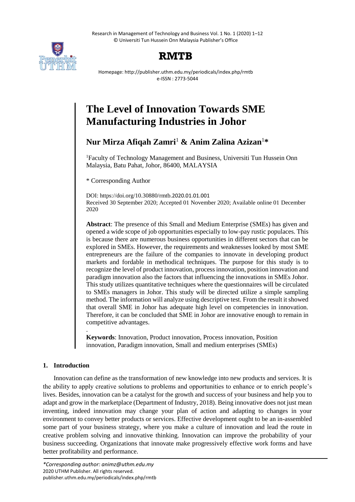Research in Management of Technology and Business Vol. 1 No. 1 (2020) 1–12 © Universiti Tun Hussein Onn Malaysia Publisher's Office



## **RMTB**

Homepage: http://publisher.uthm.edu.my/periodicals/index.php/rmtb e-ISSN : 2773-5044

# **The Level of Innovation Towards SME Manufacturing Industries in Johor**

**Nur Mirza Afiqah Zamri**<sup>1</sup> **& Anim Zalina Azizan**<sup>1</sup>**\***

<sup>1</sup>Faculty of Technology Management and Business, Universiti Tun Hussein Onn Malaysia, Batu Pahat, Johor, 86400, MALAYSIA

\* Corresponding Author

DOI: https://doi.org/10.30880/rmtb.2020.01.01.001 Received 30 September 2020; Accepted 01 November 2020; Available online 01 December 2020

**Abstract**: The presence of this Small and Medium Enterprise (SMEs) has given and opened a wide scope of job opportunities especially to low-pay rustic populaces. This is because there are numerous business opportunities in different sectors that can be explored in SMEs. However, the requirements and weaknesses looked by most SME entrepreneurs are the failure of the companies to innovate in developing product markets and fordable in methodical techniques. The purpose for this study is to recognize the level of product innovation, process innovation, position innovation and paradigm innovation also the factors that influencing the innovations in SMEs Johor. This study utilizes quantitative techniques where the questionnaires will be circulated to SMEs managers in Johor. This study will be directed utilize a simple sampling method. The information will analyze using descriptive test. From the result it showed that overall SME in Johor has adequate high level on competencies in innovation. Therefore, it can be concluded that SME in Johor are innovative enough to remain in competitive advantages.

. **Keywords**: Innovation, Product innovation, Process innovation, Position innovation, Paradigm innovation, Small and medium enterprises (SMEs)

## **1. Introduction**

Innovation can define as the transformation of new knowledge into new products and services. It is the ability to apply creative solutions to problems and opportunities to enhance or to enrich people's lives. Besides, innovation can be a catalyst for the growth and success of your business and help you to adapt and grow in the marketplace (Department of Industry, 2018). Being innovative does not just mean inventing, indeed innovation may change your plan of action and adapting to changes in your environment to convey better products or services. Effective development ought to be an in-assembled some part of your business strategy, where you make a culture of innovation and lead the route in creative problem solving and innovative thinking. Innovation can improve the probability of your business succeeding. Organizations that innovate make progressively effective work forms and have better profitability and performance.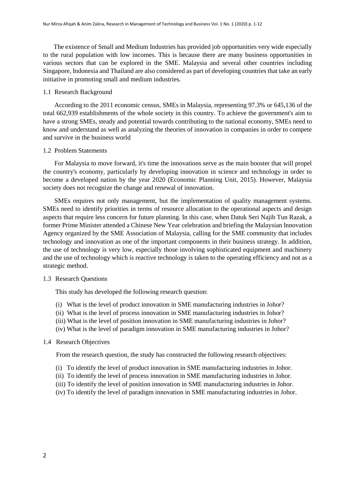The existence of Small and Medium Industries has provided job opportunities very wide especially to the rural population with low incomes. This is because there are many business opportunities in various sectors that can be explored in the SME. Malaysia and several other countries including Singapore, Indonesia and Thailand are also considered as part of developing countries that take an early initiative in promoting small and medium industries.

#### 1.1 Research Background

 According to the 2011 economic census, SMEs in Malaysia, representing 97.3% or 645,136 of the total 662,939 establishments of the whole society in this country. To achieve the government's aim to have a strong SMEs, steady and potential towards contributing to the national economy, SMEs need to know and understand as well as analyzing the theories of innovation in companies in order to compete and survive in the business world

#### 1.2 Problem Statements

 For Malaysia to move forward, it's time the innovations serve as the main booster that will propel the country's economy, particularly by developing innovation in science and technology in order to become a developed nation by the year 2020 (Economic Planning Unit, 2015). However, Malaysia society does not recognize the change and renewal of innovation.

 SMEs requires not only management, but the implementation of quality management systems. SMEs need to identify priorities in terms of resource allocation to the operational aspects and design aspects that require less concern for future planning. In this case, when Datuk Seri Najib Tun Razak, a former Prime Minister attended a Chinese New Year celebration and briefing the Malaysian Innovation Agency organized by the SME Association of Malaysia, calling for the SME community that includes technology and innovation as one of the important components in their business strategy. In addition, the use of technology is very low, especially those involving sophisticated equipment and machinery and the use of technology which is reactive technology is taken to the operating efficiency and not as a strategic method.

#### 1.3 Research Questions

This study has developed the following research question:

- (i) What is the level of product innovation in SME manufacturing industries in Johor?
- (ii) What is the level of process innovation in SME manufacturing industries in Johor?
- (iii) What is the level of position innovation in SME manufacturing industries in Johor?
- (iv) What is the level of paradigm innovation in SME manufacturing industries in Johor?

## 1.4 Research Objectives

From the research question, the study has constructed the following research objectives:

- (i) To identify the level of product innovation in SME manufacturing industries in Johor.
- (ii) To identify the level of process innovation in SME manufacturing industries in Johor.
- (iii) To identify the level of position innovation in SME manufacturing industries in Johor.
- (iv) To identify the level of paradigm innovation in SME manufacturing industries in Johor.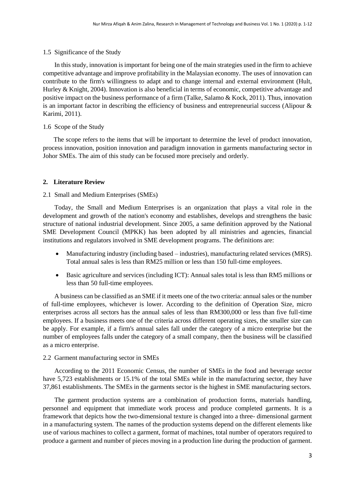## 1.5 Significance of the Study

 In this study, innovation is important for being one of the main strategies used in the firm to achieve competitive advantage and improve profitability in the Malaysian economy. The uses of innovation can contribute to the firm's willingness to adapt and to change internal and external environment (Hult, Hurley & Knight, 2004). Innovation is also beneficial in terms of economic, competitive advantage and positive impact on the business performance of a firm (Talke, Salamo & Kock, 2011). Thus, innovation is an important factor in describing the efficiency of business and entrepreneurial success (Alipour & Karimi, 2011).

## 1.6 Scope of the Study

The scope refers to the items that will be important to determine the level of product innovation, process innovation, position innovation and paradigm innovation in garments manufacturing sector in Johor SMEs. The aim of this study can be focused more precisely and orderly.

## **2. Literature Review**

## 2.1 Small and Medium Enterprises (SMEs)

 Today, the Small and Medium Enterprises is an organization that plays a vital role in the development and growth of the nation's economy and establishes, develops and strengthens the basic structure of national industrial development. Since 2005, a same definition approved by the National SME Development Council (MPKK) has been adopted by all ministries and agencies, financial institutions and regulators involved in SME development programs. The definitions are:

- Manufacturing industry (including based industries), manufacturing related services (MRS). Total annual sales is less than RM25 million or less than 150 full-time employees.
- Basic agriculture and services (including ICT): Annual sales total is less than RM5 millions or less than 50 full-time employees.

 A business can be classified as an SME if it meets one of the two criteria: annual sales or the number of full-time employees, whichever is lower. According to the definition of Operation Size, micro enterprises across all sectors has the annual sales of less than RM300,000 or less than five full-time employees. If a business meets one of the criteria across different operating sizes, the smaller size can be apply. For example, if a firm's annual sales fall under the category of a micro enterprise but the number of employees falls under the category of a small company, then the business will be classified as a micro enterprise.

#### 2.2 Garment manufacturing sector in SMEs

 According to the 2011 Economic Census, the number of SMEs in the food and beverage sector have 5,723 establishments or 15.1% of the total SMEs while in the manufacturing sector, they have 37,861 establishments. The SMEs in the garments sector is the highest in SME manufacturing sectors.

 The garment production systems are a combination of production forms, materials handling, personnel and equipment that immediate work process and produce completed garments. It is a framework that depicts how the two-dimensional texture is changed into a three- dimensional garment in a manufacturing system. The names of the production systems depend on the different elements like use of various machines to collect a garment, format of machines, total number of operators required to produce a garment and number of pieces moving in a production line during the production of garment.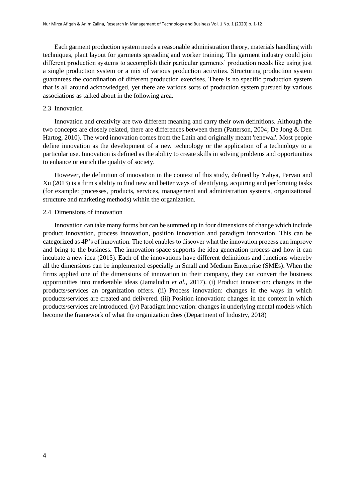Each garment production system needs a reasonable administration theory, materials handling with techniques, plant layout for garments spreading and worker training. The garment industry could join different production systems to accomplish their particular garments' production needs like using just a single production system or a mix of various production activities. Structuring production system guarantees the coordination of different production exercises. There is no specific production system that is all around acknowledged, yet there are various sorts of production system pursued by various associations as talked about in the following area.

#### 2.3 Innovation

 Innovation and creativity are two different meaning and carry their own definitions. Although the two concepts are closely related, there are differences between them (Patterson, 2004; De Jong & Den Hartog, 2010). The word innovation comes from the Latin and originally meant 'renewal'. Most people define innovation as the development of a new technology or the application of a technology to a particular use. Innovation is defined as the ability to create skills in solving problems and opportunities to enhance or enrich the quality of society.

 However, the definition of innovation in the context of this study, defined by Yahya, Pervan and Xu (2013) is a firm's ability to find new and better ways of identifying, acquiring and performing tasks (for example: processes, products, services, management and administration systems, organizational structure and marketing methods) within the organization.

#### 2.4 Dimensions of innovation

 Innovation can take many forms but can be summed up in four dimensions of change which include product innovation, process innovation, position innovation and paradigm innovation. This can be categorized as 4P's of innovation. The tool enables to discover what the innovation process can improve and bring to the business. The innovation space supports the idea generation process and how it can incubate a new idea (2015). Each of the innovations have different definitions and functions whereby all the dimensions can be implemented especially in Small and Medium Enterprise (SMEs). When the firms applied one of the dimensions of innovation in their company, they can convert the business opportunities into marketable ideas (Jamaludin *et al.*, 2017). (i) Product innovation: changes in the products/services an organization offers. (ii) Process innovation: changes in the ways in which products/services are created and delivered. (iii) Position innovation: changes in the context in which products/services are introduced. (iv) Paradigm innovation: changes in underlying mental models which become the framework of what the organization does (Department of Industry, 2018)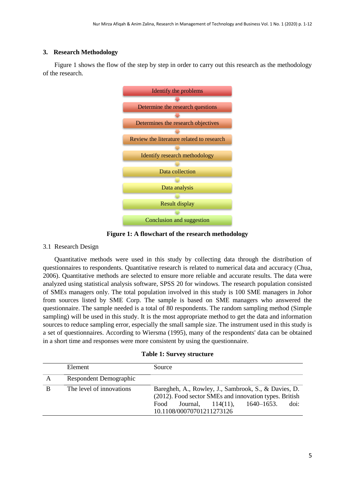## **3. Research Methodology**

 [Figure 1](#page-4-0) shows the flow of the step by step in order to carry out this research as the methodology of the research.



<span id="page-4-0"></span>**Figure 1: A flowchart of the research methodology** 

## 3.1 Research Design

 Quantitative methods were used in this study by collecting data through the distribution of questionnaires to respondents. Quantitative research is related to numerical data and accuracy (Chua, 2006). Quantitative methods are selected to ensure more reliable and accurate results. The data were analyzed using statistical analysis software, SPSS 20 for windows. The research population consisted of SMEs managers only. The total population involved in this study is 100 SME managers in Johor from sources listed by SME Corp. The sample is based on SME managers who answered the questionnaire. The sample needed is a total of 80 respondents. The random sampling method (Simple sampling) will be used in this study. It is the most appropriate method to get the data and information sources to reduce sampling error, especially the small sample size. The instrument used in this study is a set of questionnaires. According to Wiersma (1995), many of the respondents' data can be obtained in a short time and responses were more consistent by using the questionnaire.

|  |  |  | <b>Table 1: Survey structure</b> |
|--|--|--|----------------------------------|
|--|--|--|----------------------------------|

|   | Element                  | Source                                                                                                                                                                                                   |
|---|--------------------------|----------------------------------------------------------------------------------------------------------------------------------------------------------------------------------------------------------|
| A | Respondent Demographic   |                                                                                                                                                                                                          |
| B | The level of innovations | Baregheh, A., Rowley, J., Sambrook, S., & Davies, D.<br>(2012). Food sector SMEs and innovation types. British<br>$1640 - 1653.$<br>Journal,<br>doi:<br>$114(11)$ .<br>Food<br>10.1108/00070701211273126 |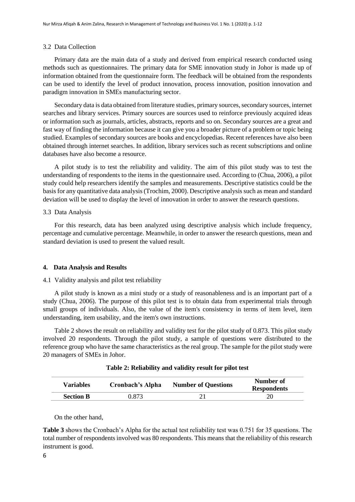#### 3.2 Data Collection

 Primary data are the main data of a study and derived from empirical research conducted using methods such as questionnaires. The primary data for SME innovation study in Johor is made up of information obtained from the questionnaire form. The feedback will be obtained from the respondents can be used to identify the level of product innovation, process innovation, position innovation and paradigm innovation in SMEs manufacturing sector.

 Secondary data is data obtained from literature studies, primary sources, secondary sources, internet searches and library services. Primary sources are sources used to reinforce previously acquired ideas or information such as journals, articles, abstracts, reports and so on. Secondary sources are a great and fast way of finding the information because it can give you a broader picture of a problem or topic being studied. Examples of secondary sources are books and encyclopedias. Recent references have also been obtained through internet searches. In addition, library services such as recent subscriptions and online databases have also become a resource.

 A pilot study is to test the reliability and validity. The aim of this pilot study was to test the understanding of respondents to the items in the questionnaire used. According to (Chua, 2006), a pilot study could help researchers identify the samples and measurements. Descriptive statistics could be the basis for any quantitative data analysis (Trochim, 2000). Descriptive analysis such as mean and standard deviation will be used to display the level of innovation in order to answer the research questions.

#### 3.3 Data Analysis

 For this research, data has been analyzed using descriptive analysis which include frequency, percentage and cumulative percentage. Meanwhile, in order to answer the research questions, mean and standard deviation is used to present the valued result.

## **4. Data Analysis and Results**

#### 4.1 Validity analysis and pilot test reliability

 A pilot study is known as a mini study or a study of reasonableness and is an important part of a study (Chua, 2006). The purpose of this pilot test is to obtain data from experimental trials through small groups of individuals. Also, the value of the item's consistency in terms of item level, item understanding, item usability, and the item's own instructions.

 [Table 2](#page-5-0) shows the result on reliability and validity test for the pilot study of 0.873. This pilot study involved 20 respondents. Through the pilot study, a sample of questions were distributed to the reference group who have the same characteristics as the real group. The sample for the pilot study were 20 managers of SMEs in Johor.

<span id="page-5-0"></span>

| <b>Variables</b> | Cronbach's Alpha | <b>Number of Questions</b> | Number of<br><b>Respondents</b> |
|------------------|------------------|----------------------------|---------------------------------|
| <b>Section B</b> | 0.873            |                            |                                 |
|                  |                  |                            |                                 |

**Table 2: Reliability and validity result for pilot test** 

On the other hand,

**[Table 3](#page-6-0)** shows the Cronbach's Alpha for the actual test reliability test was 0.751 for 35 questions. The total number of respondents involved was 80 respondents. This means that the reliability of this research instrument is good.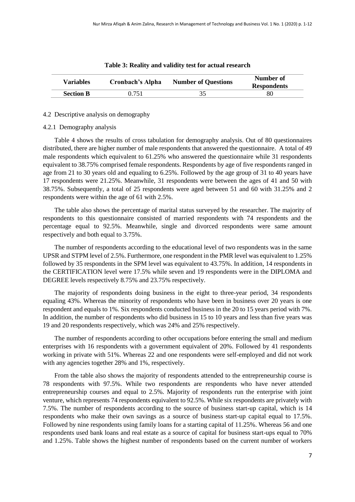<span id="page-6-0"></span>

| <b>Variables</b> | Cronbach's Alpha | <b>Number of Questions</b> | Number of<br><b>Respondents</b> |
|------------------|------------------|----------------------------|---------------------------------|
| <b>Section B</b> | 0.751            |                            | 80                              |

#### **Table 3: Reality and validity test for actual research**

#### 4.2 Descriptive analysis on demography

#### 4.2.1 Demography analysis

 [Table 4](#page-7-0) shows the results of cross tabulation for demography analysis. Out of 80 questionnaires distributed, there are higher number of male respondents that answered the questionnaire. A total of 49 male respondents which equivalent to 61.25% who answered the questionnaire while 31 respondents equivalent to 38.75% comprised female respondents. Respondents by age of five respondents ranged in age from 21 to 30 years old and equaling to 6.25%. Followed by the age group of 31 to 40 years have 17 respondents were 21.25%. Meanwhile, 31 respondents were between the ages of 41 and 50 with 38.75%. Subsequently, a total of 25 respondents were aged between 51 and 60 with 31.25% and 2 respondents were within the age of 61 with 2.5%.

 The table also shows the percentage of marital status surveyed by the researcher. The majority of respondents to this questionnaire consisted of married respondents with 74 respondents and the percentage equal to 92.5%. Meanwhile, single and divorced respondents were same amount respectively and both equal to 3.75%.

 The number of respondents according to the educational level of two respondents was in the same UPSR and STPM level of 2.5%. Furthermore, one respondent in the PMR level was equivalent to 1.25% followed by 35 respondents in the SPM level was equivalent to 43.75%. In addition, 14 respondents in the CERTIFICATION level were 17.5% while seven and 19 respondents were in the DIPLOMA and DEGREE levels respectively 8.75% and 23.75% respectively.

 The majority of respondents doing business in the eight to three-year period, 34 respondents equaling 43%. Whereas the minority of respondents who have been in business over 20 years is one respondent and equals to 1%. Six respondents conducted business in the 20 to 15 years period with 7%. In addition, the number of respondents who did business in 15 to 10 years and less than five years was 19 and 20 respondents respectively, which was 24% and 25% respectively.

 The number of respondents according to other occupations before entering the small and medium enterprises with 16 respondents with a government equivalent of 20%. Followed by 41 respondents working in private with 51%. Whereas 22 and one respondents were self-employed and did not work with any agencies together 28% and 1%, respectively.

 From the table also shows the majority of respondents attended to the entrepreneurship course is 78 respondents with 97.5%. While two respondents are respondents who have never attended entrepreneurship courses and equal to 2.5%. Majority of respondents run the enterprise with joint venture, which represents 74 respondents equivalent to 92.5%. While six respondents are privately with 7.5%. The number of respondents according to the source of business start-up capital, which is 14 respondents who make their own savings as a source of business start-up capital equal to 17.5%. Followed by nine respondents using family loans for a starting capital of 11.25%. Whereas 56 and one respondents used bank loans and real estate as a source of capital for business start-ups equal to 70% and 1.25%. Table shows the highest number of respondents based on the current number of workers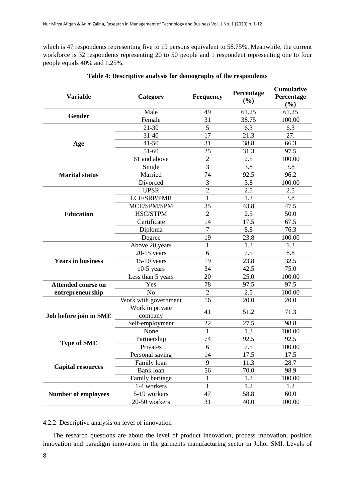which is 47 respondents representing five to 19 persons equivalent to 58.75%. Meanwhile, the current workforce is 32 respondents representing 20 to 50 people and 1 respondent representing one to four people equals 40% and 1.25%.

<span id="page-7-0"></span>

| <b>Variable</b>            | Category             | Frequency      | Percentage<br>(%) | <b>Cumulative</b><br>Percentage<br>(%) |
|----------------------------|----------------------|----------------|-------------------|----------------------------------------|
|                            | Male                 | 49             | 61.25             | 61.25                                  |
| Gender                     | Female               | 31             | 38.75             | 100.00                                 |
|                            | 21-30                | 5              | 6.3               | 6.3                                    |
|                            | $31 - 40$            | 17             | 21.3              | 27.                                    |
| Age                        | $41 - 50$            | 31             | 38.8              | 66.3                                   |
|                            | $51 - 60$            | 25             | 31.3              | 97.5                                   |
|                            | 61 and above         | $\overline{2}$ | 2.5               | 100.00                                 |
|                            | Single               | 3              | 3.8               | 3.8                                    |
| <b>Marital status</b>      | Married              | 74             | 92.5              | 96.2                                   |
|                            | Divorced             | 3              | 3.8               | 100.00                                 |
|                            | <b>UPSR</b>          | $\overline{2}$ | 2.5               | 2.5                                    |
|                            | LCE/SRP/PMR          | 1              | 1.3               | 3.8                                    |
|                            | MCE/SPM/SPM          | 35             | 43.8              | 47.5                                   |
| <b>Education</b>           | HSC/STPM             | $\overline{2}$ | 2.5               | 50.0                                   |
|                            | Certificate          | 14             | 17.5              | 67.5                                   |
|                            | Diploma              | $\overline{7}$ | 8.8               | 76.3                                   |
|                            | Degree               | 19             | 23.8              | 100.00                                 |
|                            | Above 20 years       | 1              | 1.3               | 1.3                                    |
|                            | $20-15$ years        | 6              | 7.5               | 8.8                                    |
| <b>Years in business</b>   | $15-10$ years        | 19             | 23.8              | 32.5                                   |
|                            | $10-5$ years         | 34             | 42.5              | 75.0                                   |
|                            | Less than 5 years    | 20             | 25.0              | 100.00                                 |
| <b>Attended course on</b>  | Yes                  | 78             | 97.5              | 97.5                                   |
| entrepreneurship           | N <sub>o</sub>       | $\overline{2}$ | 2.5               | 100.00                                 |
|                            | Work with government | 16             | 20.0              | 20.0                                   |
|                            | Work in private      | 41             | 51.2              | 71.3                                   |
| Job before join in SME     | company              |                |                   |                                        |
|                            | Self-employment      | 22             | 27.5              | 98.8                                   |
|                            | None                 | 1              | 1.3               | 100.00                                 |
| <b>Type of SME</b>         | Partnership          | 74             | 92.5              | 92.5                                   |
|                            | Privates             | 6              | 7.5               | 100.00                                 |
|                            | Personal saving      | 14             | 17.5              | 17.5                                   |
| <b>Capital resources</b>   | Family loan          | 9              | 11.3              | 28.7                                   |
|                            | Bank loan            | 56             | 70.0              | 98.9                                   |
|                            | Family heritage      | $\mathbf{1}$   | 1.3               | 100.00                                 |
|                            | 1-4 workers          | 1              | 1.2               | 1.2                                    |
| <b>Number of employees</b> | 5-19 workers         | 47             | 58.8              | 60.0                                   |
|                            | 20-50 workers        | 31             | 40.0              | 100.00                                 |

## **Table 4: Descriptive analysis for demography of the respondents**

## 4.2.2 Descriptive analysis on level of innovation

 The research questions are about the level of product innovation, process innovation, position innovation and paradigm innovation in the garments manufacturing sector in Johor SMI. Levels of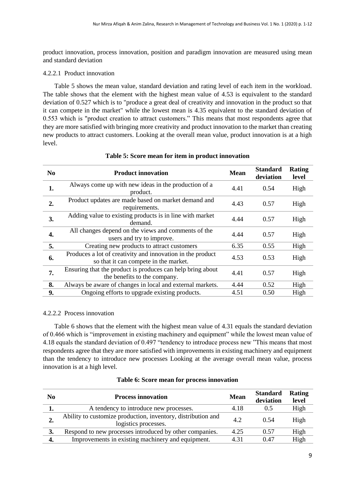product innovation, process innovation, position and paradigm innovation are measured using mean and standard deviation

## 4.2.2.1 Product innovation

 [Table 5](#page-8-0) shows the mean value, standard deviation and rating level of each item in the workload. The table shows that the element with the highest mean value of 4.53 is equivalent to the standard deviation of 0.527 which is to "produce a great deal of creativity and innovation in the product so that it can compete in the market" while the lowest mean is 4.35 equivalent to the standard deviation of 0.553 which is "product creation to attract customers." This means that most respondents agree that they are more satisfied with bringing more creativity and product innovation to the market than creating new products to attract customers. Looking at the overall mean value, product innovation is at a high level.

<span id="page-8-0"></span>

| N <sub>0</sub> | <b>Product innovation</b>                                                                           | <b>Mean</b> | <b>Standard</b><br>deviation | Rating<br>level |
|----------------|-----------------------------------------------------------------------------------------------------|-------------|------------------------------|-----------------|
| 1.             | Always come up with new ideas in the production of a<br>product.                                    | 4.41        | 0.54                         | High            |
| 2.             | Product updates are made based on market demand and<br>requirements.                                | 4.43        | 0.57                         | High            |
| 3.             | Adding value to existing products is in line with market<br>demand.                                 | 4.44        | 0.57                         | High            |
| 4.             | All changes depend on the views and comments of the<br>users and try to improve.                    | 4.44        | 0.57                         | High            |
| 5.             | Creating new products to attract customers                                                          | 6.35        | 0.55                         | High            |
| 6.             | Produces a lot of creativity and innovation in the product<br>so that it can compete in the market. | 4.53        | 0.53                         | High            |
| 7.             | Ensuring that the product is produces can help bring about<br>the benefits to the company.          | 4.41        | 0.57                         | High            |
| 8.             | Always be aware of changes in local and external markets.                                           | 4.44        | 0.52                         | High            |
| 9.             | Ongoing efforts to upgrade existing products.                                                       | 4.51        | 0.50                         | High            |

## **Table 5: Score mean for item in product innovation**

## 4.2.2.2 Process innovation

 [Table 6](#page-8-1) shows that the element with the highest mean value of 4.31 equals the standard deviation of 0.466 which is "improvement in existing machinery and equipment" while the lowest mean value of 4.18 equals the standard deviation of 0.497 "tendency to introduce process new "This means that most respondents agree that they are more satisfied with improvements in existing machinery and equipment than the tendency to introduce new processes Looking at the average overall mean value, process innovation is at a high level.

<span id="page-8-1"></span>

| N <sub>0</sub> | <b>Process innovation</b>                                                            | <b>Mean</b> | <b>Standard</b><br>deviation | Rating<br>level |
|----------------|--------------------------------------------------------------------------------------|-------------|------------------------------|-----------------|
| 1.             | A tendency to introduce new processes.                                               | 4.18        | 0.5                          | High            |
| ۷.             | Ability to customize production, inventory, distribution and<br>logistics processes. | 4.2         | 0.54                         | High            |
| 3.             | Respond to new processes introduced by other companies.                              | 4.25        | 0.57                         | High            |
| 4.             | Improvements in existing machinery and equipment.                                    | 4.31        | 0.47                         | High            |

## **Table 6: Score mean for process innovation**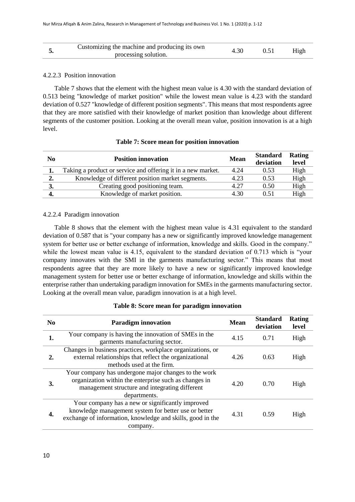|  | Customizing the machine and producing its own<br>processing solution. | 4.30 |  | High |
|--|-----------------------------------------------------------------------|------|--|------|
|--|-----------------------------------------------------------------------|------|--|------|

### 4.2.2.3 Position innovation

 [Table 7](#page-9-0) shows that the element with the highest mean value is 4.30 with the standard deviation of 0.513 being "knowledge of market position" while the lowest mean value is 4.23 with the standard deviation of 0.527 "knowledge of different position segments". This means that most respondents agree that they are more satisfied with their knowledge of market position than knowledge about different segments of the customer position. Looking at the overall mean value, position innovation is at a high level.

<span id="page-9-0"></span>

| N <sub>0</sub> | <b>Position innovation</b>                                   | <b>Mean</b> | <b>Standard</b><br>deviation | Rating<br>level |
|----------------|--------------------------------------------------------------|-------------|------------------------------|-----------------|
| 1.             | Taking a product or service and offering it in a new market. | 4.24        | 0.53                         | High            |
| 2.             | Knowledge of different position market segments.             | 4.23        | 0.53                         | High            |
| 3.             | Creating good positioning team.                              | 4.27        | 0.50                         | High            |
| 4.             | Knowledge of market position.                                | 4.30        | 0.51                         | High            |

## **Table 7: Score mean for position innovation**

#### 4.2.2.4 Paradigm innovation

 [Table 8](#page-9-1) shows that the element with the highest mean value is 4.31 equivalent to the standard deviation of 0.587 that is "your company has a new or significantly improved knowledge management system for better use or better exchange of information, knowledge and skills. Good in the company." while the lowest mean value is 4.15, equivalent to the standard deviation of 0.713 which is "your company innovates with the SMI in the garments manufacturing sector." This means that most respondents agree that they are more likely to have a new or significantly improved knowledge management system for better use or better exchange of information, knowledge and skills within the enterprise rather than undertaking paradigm innovation for SMEs in the garments manufacturing sector. Looking at the overall mean value, paradigm innovation is at a high level.

<span id="page-9-1"></span>

| N <sub>0</sub> | <b>Paradigm innovation</b>                                                                                                                                                         | <b>Mean</b> | <b>Standard</b><br>deviation | Rating<br>level |
|----------------|------------------------------------------------------------------------------------------------------------------------------------------------------------------------------------|-------------|------------------------------|-----------------|
| 1.             | Your company is having the innovation of SMEs in the<br>garments manufacturing sector.                                                                                             | 4.15        | 0.71                         | High            |
| 2.             | Changes in business practices, workplace organizations, or<br>external relationships that reflect the organizational<br>methods used at the firm.                                  | 4.26        | 0.63                         | High            |
| 3.             | Your company has undergone major changes to the work<br>organization within the enterprise such as changes in<br>management structure and integrating different<br>departments.    | 4.20        | 0.70                         | High            |
| 4.             | Your company has a new or significantly improved<br>knowledge management system for better use or better<br>exchange of information, knowledge and skills, good in the<br>company. | 4.31        | 0.59                         | High            |

#### **Table 8: Score mean for paradigm innovation**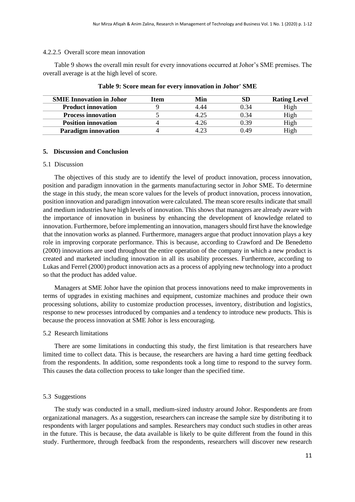#### 4.2.2.5 Overall score mean innovation

 [Table 9](#page-10-0) shows the overall min result for every innovations occurred at Johor's SME premises. The overall average is at the high level of score.

<span id="page-10-0"></span>

| <b>SMIE Innovation in Johor</b> | Item | Min           | SD   | <b>Rating Level</b> |
|---------------------------------|------|---------------|------|---------------------|
| <b>Product innovation</b>       |      | 4.44          | 0.34 | High                |
| <b>Process innovation</b>       |      | 4.25          | 0.34 | High                |
| <b>Position innovation</b>      |      | 4.26          | 0.39 | High                |
| <b>Paradigm innovation</b>      |      | $4.2^{\circ}$ | 0.49 | High                |

#### **Table 9: Score mean for every innovation in Johor' SME**

#### **5. Discussion and Conclusion**

#### 5.1 Discussion

 The objectives of this study are to identify the level of product innovation, process innovation, position and paradigm innovation in the garments manufacturing sector in Johor SME. To determine the stage in this study, the mean score values for the levels of product innovation, process innovation, position innovation and paradigm innovation were calculated. The mean score results indicate that small and medium industries have high levels of innovation. This shows that managers are already aware with the importance of innovation in business by enhancing the development of knowledge related to innovation. Furthermore, before implementing an innovation, managers should first have the knowledge that the innovation works as planned. Furthermore, managers argue that product innovation plays a key role in improving corporate performance. This is because, according to Crawford and De Benedetto (2000) innovations are used throughout the entire operation of the company in which a new product is created and marketed including innovation in all its usability processes. Furthermore, according to Lukas and Ferrel (2000) product innovation acts as a process of applying new technology into a product so that the product has added value.

 Managers at SME Johor have the opinion that process innovations need to make improvements in terms of upgrades in existing machines and equipment, customize machines and produce their own processing solutions, ability to customize production processes, inventory, distribution and logistics, response to new processes introduced by companies and a tendency to introduce new products. This is because the process innovation at SME Johor is less encouraging.

#### 5.2 Research limitations

 There are some limitations in conducting this study, the first limitation is that researchers have limited time to collect data. This is because, the researchers are having a hard time getting feedback from the respondents. In addition, some respondents took a long time to respond to the survey form. This causes the data collection process to take longer than the specified time.

#### 5.3 Suggestions

 The study was conducted in a small, medium-sized industry around Johor. Respondents are from organizational managers. As a suggestion, researchers can increase the sample size by distributing it to respondents with larger populations and samples. Researchers may conduct such studies in other areas in the future. This is because, the data available is likely to be quite different from the found in this study. Furthermore, through feedback from the respondents, researchers will discover new research